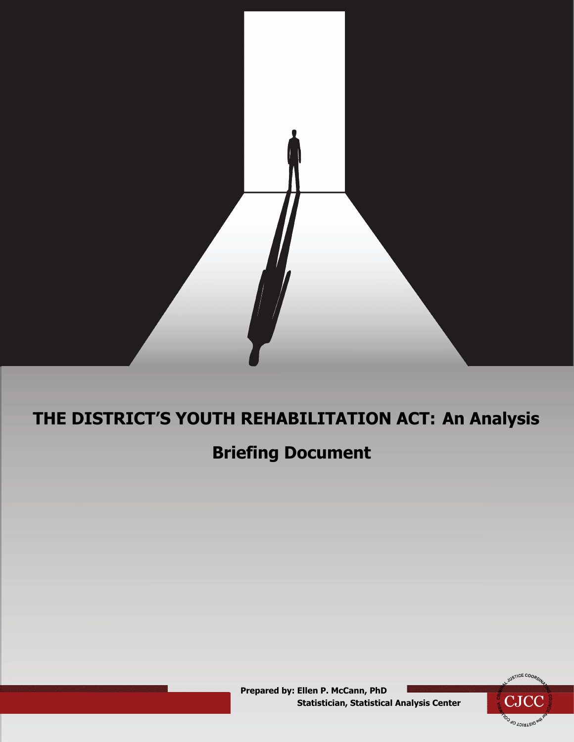

# **THE DISTRICT'S YOUTH REHABILITATION ACT: An Analysis**

# **Briefing Document**

 **Prepared by: Ellen P. McCann, PhD Statistician, Statistical Analysis Center** 

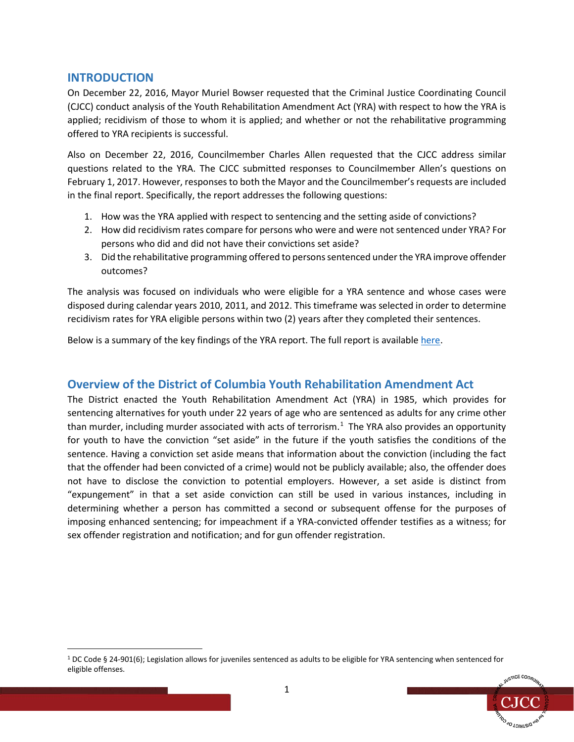## **INTRODUCTION**

On December 22, 2016, Mayor Muriel Bowser requested that the Criminal Justice Coordinating Council (CJCC) conduct analysis of the Youth Rehabilitation Amendment Act (YRA) with respect to how the YRA is applied; recidivism of those to whom it is applied; and whether or not the rehabilitative programming offered to YRA recipients is successful.

Also on December 22, 2016, Councilmember Charles Allen requested that the CJCC address similar questions related to the YRA. The CJCC submitted responses to Councilmember Allen's questions on February 1, 2017. However, responses to both the Mayor and the Councilmember's requests are included in the final report. Specifically, the report addresses the following questions:

- 1. How was the YRA applied with respect to sentencing and the setting aside of convictions?
- 2. How did recidivism rates compare for persons who were and were not sentenced under YRA? For persons who did and did not have their convictions set aside?
- 3. Did the rehabilitative programming offered to persons sentenced under the YRA improve offender outcomes?

The analysis was focused on individuals who were eligible for a YRA sentence and whose cases were disposed during calendar years 2010, 2011, and 2012. This timeframe was selected in order to determine recidivism rates for YRA eligible persons within two (2) years after they completed their sentences.

Below is a summary of the key findings of the YRA report. The full report is available [here.](https://cjcc.dc.gov/sites/default/files/dc/sites/cjcc/release_content/attachments/District%27s%20YRA-An%20Analysis.pdf)

## **Overview of the District of Columbia Youth Rehabilitation Amendment Act**

The District enacted the Youth Rehabilitation Amendment Act (YRA) in 1985, which provides for sentencing alternatives for youth under 22 years of age who are sentenced as adults for any crime other than murder, including murder associated with acts of terrorism.<sup>[1](#page-1-0)</sup> The YRA also provides an opportunity for youth to have the conviction "set aside" in the future if the youth satisfies the conditions of the sentence. Having a conviction set aside means that information about the conviction (including the fact that the offender had been convicted of a crime) would not be publicly available; also, the offender does not have to disclose the conviction to potential employers. However, a set aside is distinct from "expungement" in that a set aside conviction can still be used in various instances, including in determining whether a person has committed a second or subsequent offense for the purposes of imposing enhanced sentencing; for impeachment if a YRA-convicted offender testifies as a witness; for sex offender registration and notification; and for gun offender registration.

<span id="page-1-0"></span> <sup>1</sup> DC Code § 24-901(6); Legislation allows for juveniles sentenced as adults to be eligible for YRA sentencing when sentenced for eligible offenses.

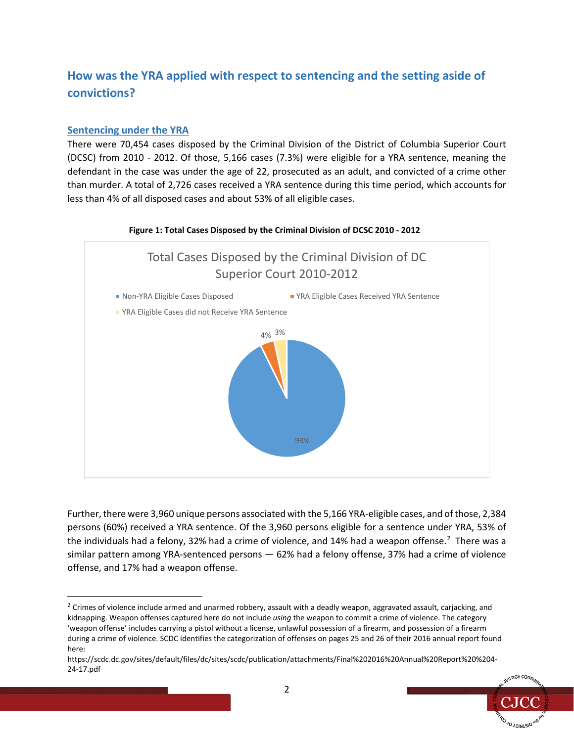# **How was the YRA applied with respect to sentencing and the setting aside of convictions?**

## **Sentencing under the YRA**

There were 70,454 cases disposed by the Criminal Division of the District of Columbia Superior Court (DCSC) from 2010 - 2012. Of those, 5,166 cases (7.3%) were eligible for a YRA sentence, meaning the defendant in the case was under the age of 22, prosecuted as an adult, and convicted of a crime other than murder. A total of 2,726 cases received a YRA sentence during this time period, which accounts for less than 4% of all disposed cases and about 53% of all eligible cases.



Further, there were 3,960 unique persons associated with the 5,166 YRA-eligible cases, and of those, 2,384 persons (60%) received a YRA sentence. Of the 3,960 persons eligible for a sentence under YRA, 53% of the individuals had a felony, 3[2](#page-2-0)% had a crime of violence, and 14% had a weapon offense.<sup>2</sup> There was a similar pattern among YRA-sentenced persons — 62% had a felony offense, 37% had a crime of violence offense, and 17% had a weapon offense.

https://scdc.dc.gov/sites/default/files/dc/sites/scdc/publication/attachments/Final%202016%20Annual%20Report%20%204- 24-17.pdf



<span id="page-2-0"></span><sup>&</sup>lt;sup>2</sup> Crimes of violence include armed and unarmed robbery, assault with a deadly weapon, aggravated assault, carjacking, and kidnapping. Weapon offenses captured here do not include *using* the weapon to commit a crime of violence. The category 'weapon offense' includes carrying a pistol without a license, unlawful possession of a firearm, and possession of a firearm during a crime of violence. SCDC identifies the categorization of offenses on pages 25 and 26 of their 2016 annual report found here: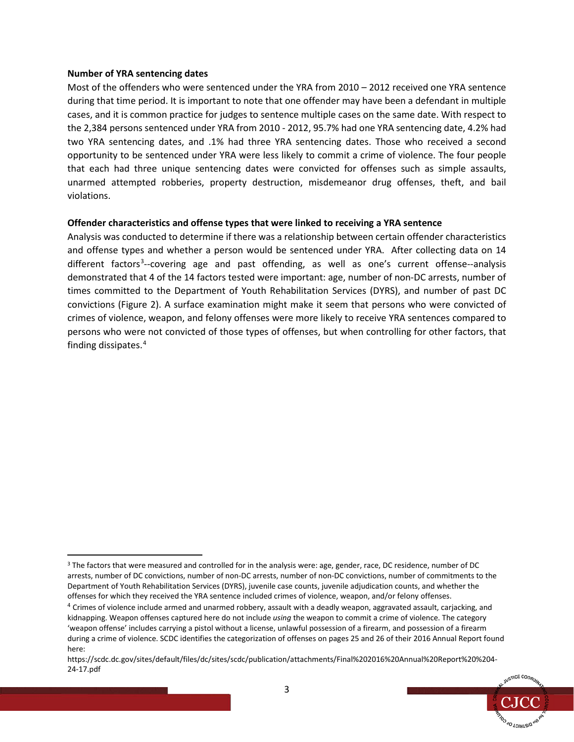#### **Number of YRA sentencing dates**

Most of the offenders who were sentenced under the YRA from 2010 – 2012 received one YRA sentence during that time period. It is important to note that one offender may have been a defendant in multiple cases, and it is common practice for judges to sentence multiple cases on the same date. With respect to the 2,384 persons sentenced under YRA from 2010 - 2012, 95.7% had one YRA sentencing date, 4.2% had two YRA sentencing dates, and .1% had three YRA sentencing dates. Those who received a second opportunity to be sentenced under YRA were less likely to commit a crime of violence. The four people that each had three unique sentencing dates were convicted for offenses such as simple assaults, unarmed attempted robberies, property destruction, misdemeanor drug offenses, theft, and bail violations.

#### **Offender characteristics and offense types that were linked to receiving a YRA sentence**

Analysis was conducted to determine if there was a relationship between certain offender characteristics and offense types and whether a person would be sentenced under YRA. After collecting data on 14 different factors<sup>[3](#page-3-0)</sup>--covering age and past offending, as well as one's current offense--analysis demonstrated that 4 of the 14 factors tested were important: age, number of non-DC arrests, number of times committed to the Department of Youth Rehabilitation Services (DYRS), and number of past DC convictions (Figure 2). A surface examination might make it seem that persons who were convicted of crimes of violence, weapon, and felony offenses were more likely to receive YRA sentences compared to persons who were not convicted of those types of offenses, but when controlling for other factors, that finding dissipates.[4](#page-3-1)

https://scdc.dc.gov/sites/default/files/dc/sites/scdc/publication/attachments/Final%202016%20Annual%20Report%20%204- 24-17.pdf



<span id="page-3-0"></span><sup>&</sup>lt;sup>3</sup> The factors that were measured and controlled for in the analysis were: age, gender, race, DC residence, number of DC arrests, number of DC convictions, number of non-DC arrests, number of non-DC convictions, number of commitments to the Department of Youth Rehabilitation Services (DYRS), juvenile case counts, juvenile adjudication counts, and whether the offenses for which they received the YRA sentence included crimes of violence, weapon, and/or felony offenses.

<span id="page-3-1"></span><sup>&</sup>lt;sup>4</sup> Crimes of violence include armed and unarmed robbery, assault with a deadly weapon, aggravated assault, carjacking, and kidnapping. Weapon offenses captured here do not include *using* the weapon to commit a crime of violence. The category 'weapon offense' includes carrying a pistol without a license, unlawful possession of a firearm, and possession of a firearm during a crime of violence. SCDC identifies the categorization of offenses on pages 25 and 26 of their 2016 Annual Report found here: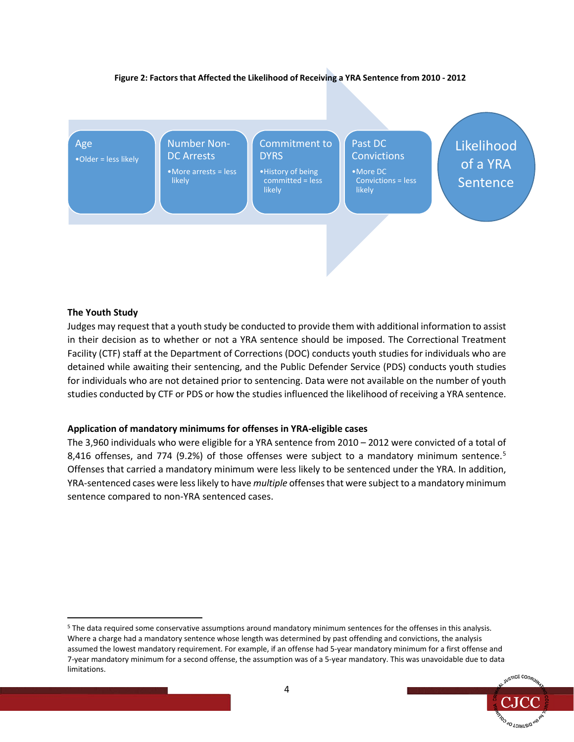#### **Figure 2: Factors that Affected the Likelihood of Receiving a YRA Sentence from 2010 - 2012**



#### **The Youth Study**

Judges may request that a youth study be conducted to provide them with additional information to assist in their decision as to whether or not a YRA sentence should be imposed. The Correctional Treatment Facility (CTF) staff at the Department of Corrections (DOC) conducts youth studies for individuals who are detained while awaiting their sentencing, and the Public Defender Service (PDS) conducts youth studies for individuals who are not detained prior to sentencing. Data were not available on the number of youth studies conducted by CTF or PDS or how the studies influenced the likelihood of receiving a YRA sentence.

#### **Application of mandatory minimums for offenses in YRA-eligible cases**

The 3,960 individuals who were eligible for a YRA sentence from 2010 – 2012 were convicted of a total of 8,416 offenses, and 774 (9.2%) of those offenses were subject to a mandatory minimum sentence.<sup>[5](#page-4-0)</sup> Offenses that carried a mandatory minimum were less likely to be sentenced under the YRA. In addition, YRA-sentenced cases were less likely to have *multiple* offensesthat were subject to a mandatory minimum sentence compared to non-YRA sentenced cases.

<span id="page-4-0"></span> <sup>5</sup> The data required some conservative assumptions around mandatory minimum sentences for the offenses in this analysis. Where a charge had a mandatory sentence whose length was determined by past offending and convictions, the analysis assumed the lowest mandatory requirement. For example, if an offense had 5-year mandatory minimum for a first offense and 7-year mandatory minimum for a second offense, the assumption was of a 5-year mandatory. This was unavoidable due to data limitations.

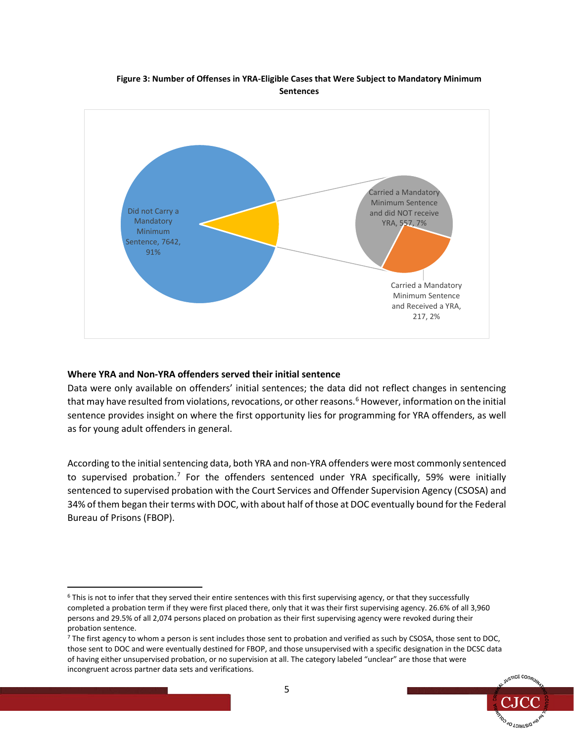#### **Figure 3: Number of Offenses in YRA-Eligible Cases that Were Subject to Mandatory Minimum Sentences**



#### **Where YRA and Non-YRA offenders served their initial sentence**

Data were only available on offenders' initial sentences; the data did not reflect changes in sentencing that may have resulted from violations, revocations, or other reasons.<sup>6</sup> However, information on the initial sentence provides insight on where the first opportunity lies for programming for YRA offenders, as well as for young adult offenders in general.

According to the initial sentencing data, both YRA and non-YRA offenders were most commonly sentenced to supervised probation.<sup>[7](#page-5-1)</sup> For the offenders sentenced under YRA specifically, 59% were initially sentenced to supervised probation with the Court Services and Offender Supervision Agency (CSOSA) and 34% of them began their terms with DOC, with about half of those at DOC eventually bound for the Federal Bureau of Prisons (FBOP).

<span id="page-5-1"></span><sup>&</sup>lt;sup>7</sup> The first agency to whom a person is sent includes those sent to probation and verified as such by CSOSA, those sent to DOC, those sent to DOC and were eventually destined for FBOP, and those unsupervised with a specific designation in the DCSC data of having either unsupervised probation, or no supervision at all. The category labeled "unclear" are those that were incongruent across partner data sets and verifications.



<span id="page-5-0"></span> <sup>6</sup> This is not to infer that they served their entire sentences with this first supervising agency, or that they successfully completed a probation term if they were first placed there, only that it was their first supervising agency. 26.6% of all 3,960 persons and 29.5% of all 2,074 persons placed on probation as their first supervising agency were revoked during their probation sentence.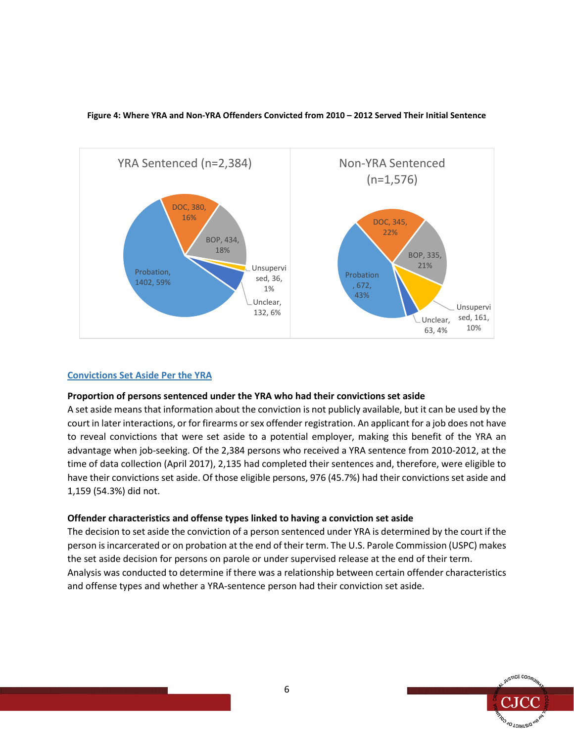

#### **Figure 4: Where YRA and Non-YRA Offenders Convicted from 2010 – 2012 Served Their Initial Sentence**

#### **Convictions Set Aside Per the YRA**

#### **Proportion of persons sentenced under the YRA who had their convictions set aside**

A set aside means that information about the conviction is not publicly available, but it can be used by the court in later interactions, or for firearms or sex offender registration. An applicant for a job does not have to reveal convictions that were set aside to a potential employer, making this benefit of the YRA an advantage when job-seeking. Of the 2,384 persons who received a YRA sentence from 2010-2012, at the time of data collection (April 2017), 2,135 had completed their sentences and, therefore, were eligible to have their convictions set aside. Of those eligible persons, 976 (45.7%) had their convictions set aside and 1,159 (54.3%) did not.

#### **Offender characteristics and offense types linked to having a conviction set aside**

The decision to set aside the conviction of a person sentenced under YRA is determined by the court if the person is incarcerated or on probation at the end of their term. The U.S. Parole Commission (USPC) makes the set aside decision for persons on parole or under supervised release at the end of their term. Analysis was conducted to determine if there was a relationship between certain offender characteristics and offense types and whether a YRA-sentence person had their conviction set aside.

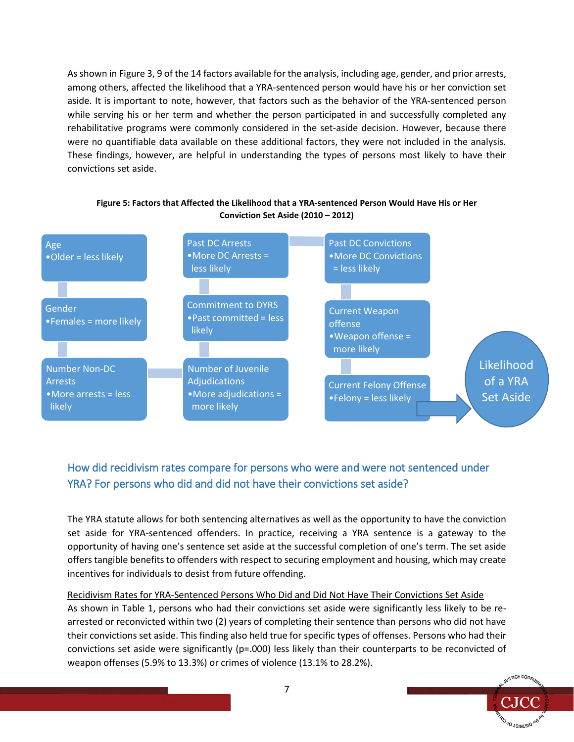As shown in Figure 3, 9 of the 14 factors available for the analysis, including age, gender, and prior arrests, among others, affected the likelihood that a YRA-sentenced person would have his or her conviction set aside. It is important to note, however, that factors such as the behavior of the YRA-sentenced person while serving his or her term and whether the person participated in and successfully completed any rehabilitative programs were commonly considered in the set-aside decision. However, because there were no quantifiable data available on these additional factors, they were not included in the analysis. These findings, however, are helpful in understanding the types of persons most likely to have their convictions set aside.



#### **Figure 5: Factors that Affected the Likelihood that a YRA-sentenced Person Would Have His or Her Conviction Set Aside (2010 – 2012)**

# How did recidivism rates compare for persons who were and were not sentenced under YRA? For persons who did and did not have their convictions set aside?

The YRA statute allows for both sentencing alternatives as well as the opportunity to have the conviction set aside for YRA-sentenced offenders. In practice, receiving a YRA sentence is a gateway to the opportunity of having one's sentence set aside at the successful completion of one's term. The set aside offers tangible benefits to offenders with respect to securing employment and housing, which may create incentives for individuals to desist from future offending.

## Recidivism Rates for YRA-Sentenced Persons Who Did and Did Not Have Their Convictions Set Aside As shown in Table 1, persons who had their convictions set aside were significantly less likely to be rearrested or reconvicted within two (2) years of completing their sentence than persons who did not have their convictions set aside. This finding also held true for specific types of offenses. Persons who had their convictions set aside were significantly (p=.000) less likely than their counterparts to be reconvicted of weapon offenses (5.9% to 13.3%) or crimes of violence (13.1% to 28.2%).

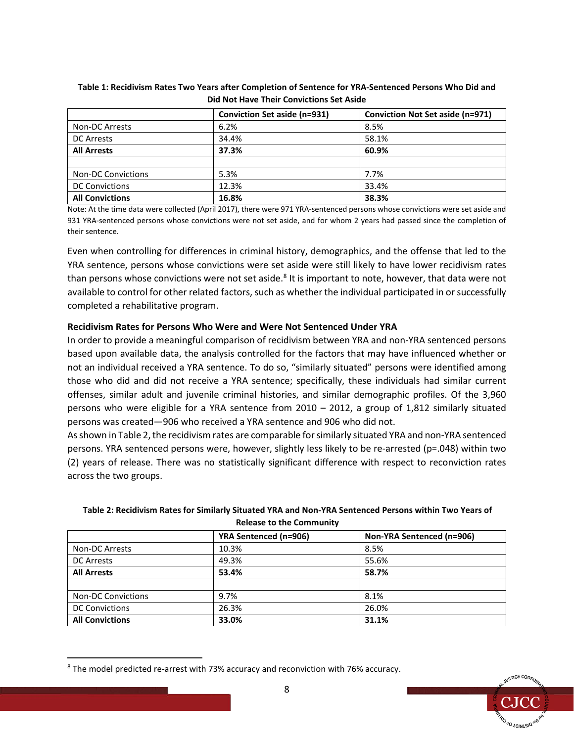|                           | Conviction Set aside (n=931) | <b>Conviction Not Set aside (n=971)</b> |
|---------------------------|------------------------------|-----------------------------------------|
| <b>Non-DC Arrests</b>     | 6.2%                         | 8.5%                                    |
| <b>DC Arrests</b>         | 34.4%                        | 58.1%                                   |
| <b>All Arrests</b>        | 37.3%                        | 60.9%                                   |
|                           |                              |                                         |
| <b>Non-DC Convictions</b> | 5.3%                         | 7.7%                                    |
| <b>DC Convictions</b>     | 12.3%                        | 33.4%                                   |
| <b>All Convictions</b>    | 16.8%                        | 38.3%                                   |

#### **Table 1: Recidivism Rates Two Years after Completion of Sentence for YRA-Sentenced Persons Who Did and Did Not Have Their Convictions Set Aside**

Note: At the time data were collected (April 2017), there were 971 YRA-sentenced persons whose convictions were set aside and 931 YRA-sentenced persons whose convictions were not set aside, and for whom 2 years had passed since the completion of their sentence.

Even when controlling for differences in criminal history, demographics, and the offense that led to the YRA sentence, persons whose convictions were set aside were still likely to have lower recidivism rates than persons whose convictions were not set aside.<sup>[8](#page-8-0)</sup> It is important to note, however, that data were not available to control for other related factors, such as whether the individual participated in or successfully completed a rehabilitative program.

### **Recidivism Rates for Persons Who Were and Were Not Sentenced Under YRA**

In order to provide a meaningful comparison of recidivism between YRA and non-YRA sentenced persons based upon available data, the analysis controlled for the factors that may have influenced whether or not an individual received a YRA sentence. To do so, "similarly situated" persons were identified among those who did and did not receive a YRA sentence; specifically, these individuals had similar current offenses, similar adult and juvenile criminal histories, and similar demographic profiles. Of the 3,960 persons who were eligible for a YRA sentence from 2010 – 2012, a group of 1,812 similarly situated persons was created—906 who received a YRA sentence and 906 who did not.

As shown in Table 2, the recidivism rates are comparable for similarly situated YRA and non-YRA sentenced persons. YRA sentenced persons were, however, slightly less likely to be re-arrested (p=.048) within two (2) years of release. There was no statistically significant difference with respect to reconviction rates across the two groups.

#### **Table 2: Recidivism Rates for Similarly Situated YRA and Non-YRA Sentenced Persons within Two Years of Release to the Community**

|                           | <b>YRA Sentenced (n=906)</b> | Non-YRA Sentenced (n=906) |
|---------------------------|------------------------------|---------------------------|
| Non-DC Arrests            | 10.3%                        | 8.5%                      |
| <b>DC Arrests</b>         | 49.3%                        | 55.6%                     |
| <b>All Arrests</b>        | 53.4%                        | 58.7%                     |
|                           |                              |                           |
| <b>Non-DC Convictions</b> | 9.7%                         | 8.1%                      |
| <b>DC Convictions</b>     | 26.3%                        | 26.0%                     |
| <b>All Convictions</b>    | 33.0%                        | 31.1%                     |



<span id="page-8-0"></span> <sup>8</sup> The model predicted re-arrest with 73% accuracy and reconviction with 76% accuracy.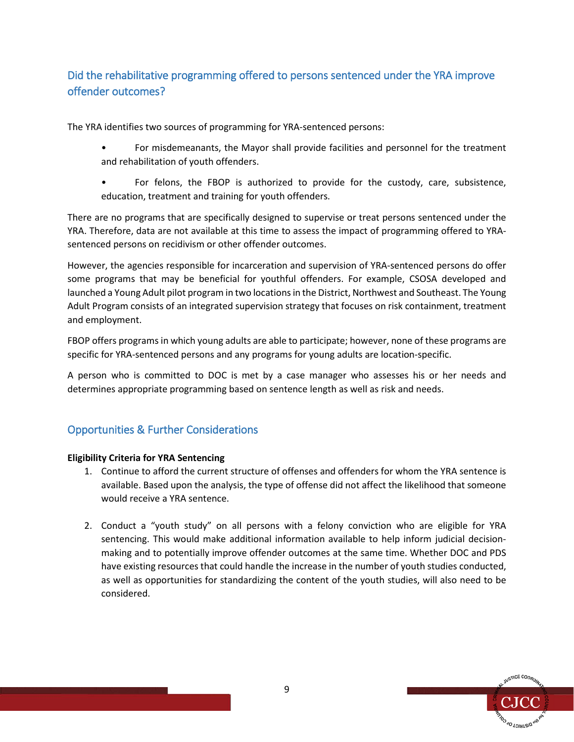# Did the rehabilitative programming offered to persons sentenced under the YRA improve offender outcomes?

The YRA identifies two sources of programming for YRA-sentenced persons:

- For misdemeanants, the Mayor shall provide facilities and personnel for the treatment and rehabilitation of youth offenders.
- For felons, the FBOP is authorized to provide for the custody, care, subsistence, education, treatment and training for youth offenders.

There are no programs that are specifically designed to supervise or treat persons sentenced under the YRA. Therefore, data are not available at this time to assess the impact of programming offered to YRAsentenced persons on recidivism or other offender outcomes.

However, the agencies responsible for incarceration and supervision of YRA-sentenced persons do offer some programs that may be beneficial for youthful offenders. For example, CSOSA developed and launched a Young Adult pilot program in two locations in the District, Northwest and Southeast. The Young Adult Program consists of an integrated supervision strategy that focuses on risk containment, treatment and employment.

FBOP offers programs in which young adults are able to participate; however, none of these programs are specific for YRA-sentenced persons and any programs for young adults are location-specific.

A person who is committed to DOC is met by a case manager who assesses his or her needs and determines appropriate programming based on sentence length as well as risk and needs.

# Opportunities & Further Considerations

## **Eligibility Criteria for YRA Sentencing**

- 1. Continue to afford the current structure of offenses and offenders for whom the YRA sentence is available. Based upon the analysis, the type of offense did not affect the likelihood that someone would receive a YRA sentence.
- 2. Conduct a "youth study" on all persons with a felony conviction who are eligible for YRA sentencing. This would make additional information available to help inform judicial decisionmaking and to potentially improve offender outcomes at the same time. Whether DOC and PDS have existing resources that could handle the increase in the number of youth studies conducted, as well as opportunities for standardizing the content of the youth studies, will also need to be considered.